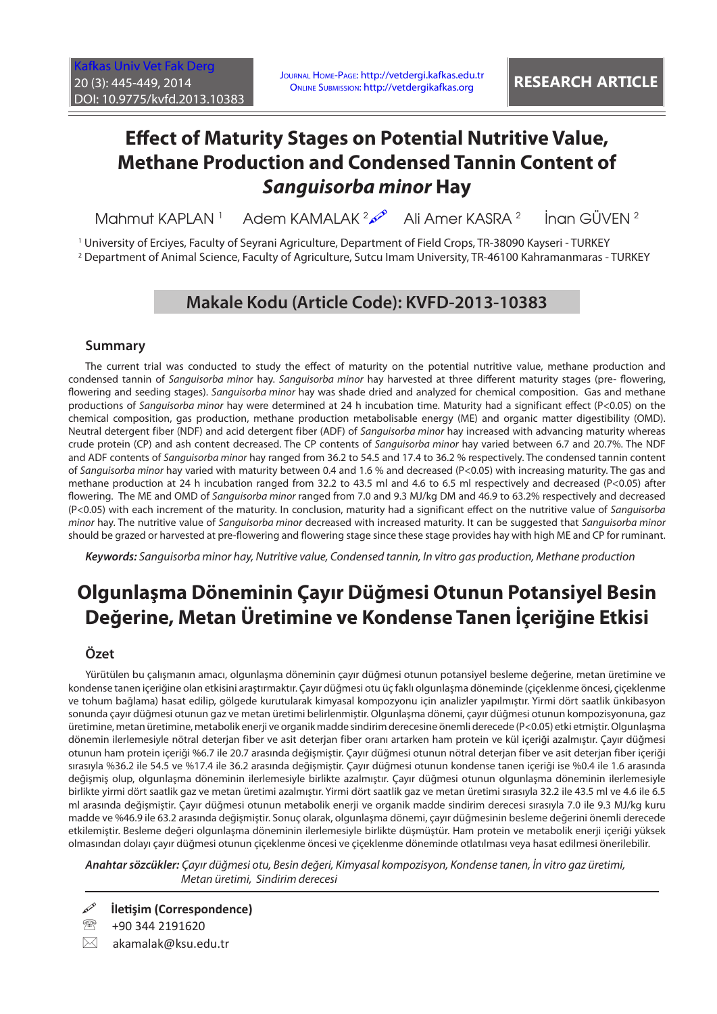# **Effect of Maturity Stages on Potential Nutritive Value, Methane Production and Condensed Tannin Content of**  *Sanguisorba minor* **Hay**

Mahmut KAPI AN<sup>1</sup> Adem KAMALAK <sup>2</sup><sup>2</sup> Ali Amer KASRA <sup>2</sup> İnan GÜVEN <sup>2</sup>

1 University of Erciyes, Faculty of Seyrani Agriculture, Department of Field Crops, TR-38090 Kayseri - TURKEY 2 Department of Animal Science, Faculty of Agriculture, Sutcu Imam University, TR-46100 Kahramanmaras - TURKEY

### **Makale Kodu (Article Code): KVFD-2013-10383**

#### **Summary**

The current trial was conducted to study the effect of maturity on the potential nutritive value, methane production and condensed tannin of *Sanguisorba minor* hay. *Sanguisorba minor* hay harvested at three different maturity stages (pre- flowering, flowering and seeding stages). *Sanguisorba minor* hay was shade dried and analyzed for chemical composition. Gas and methane productions of *Sanguisorba minor* hay were determined at 24 h incubation time. Maturity had a significant effect (P<0.05) on the chemical composition, gas production, methane production metabolisable energy (ME) and organic matter digestibility (OMD). Neutral detergent fiber (NDF) and acid detergent fiber (ADF) of *Sanguisorba minor* hay increased with advancing maturity whereas crude protein (CP) and ash content decreased. The CP contents of *Sanguisorba minor* hay varied between 6.7 and 20.7%. The NDF and ADF contents of *Sanguisorba minor* hay ranged from 36.2 to 54.5 and 17.4 to 36.2 % respectively. The condensed tannin content of *Sanguisorba minor* hay varied with maturity between 0.4 and 1.6 % and decreased (P<0.05) with increasing maturity. The gas and methane production at 24 h incubation ranged from 32.2 to 43.5 ml and 4.6 to 6.5 ml respectively and decreased (P<0.05) after flowering. The ME and OMD of *Sanguisorba minor* ranged from 7.0 and 9.3 MJ/kg DM and 46.9 to 63.2% respectively and decreased (P<0.05) with each increment of the maturity. In conclusion, maturity had a significant effect on the nutritive value of *Sanguisorba minor* hay. The nutritive value of *Sanguisorba minor* decreased with increased maturity. It can be suggested that *Sanguisorba minor* should be grazed or harvested at pre-flowering and flowering stage since these stage provides hay with high ME and CP for ruminant.

*Keywords: Sanguisorba minor hay, Nutritive value, Condensed tannin, In vitro gas production, Methane production*

## **Olgunlaşma Döneminin Çayır Düğmesi Otunun Potansiyel Besin Değerine, Metan Üretimine ve Kondense Tanen İçeriğine Etkisi**

#### **Özet**

Yürütülen bu çalışmanın amacı, olgunlaşma döneminin çayır düğmesi otunun potansiyel besleme değerine, metan üretimine ve kondense tanen içeriğine olan etkisini araştırmaktır. Çayır düğmesi otu üç faklı olgunlaşma döneminde (çiçeklenme öncesi, çiçeklenme ve tohum bağlama) hasat edilip, gölgede kurutularak kimyasal kompozyonu için analizler yapılmıştır. Yirmi dört saatlik ünkibasyon sonunda çayır düğmesi otunun gaz ve metan üretimi belirlenmiştir. Olgunlaşma dönemi, çayır düğmesi otunun kompozisyonuna, gaz üretimine, metan üretimine, metabolik enerji ve organik madde sindirim derecesine önemli derecede (P<0.05) etki etmiştir. Olgunlaşma dönemin ilerlemesiyle nötral deterjan fiber ve asit deterjan fiber oranı artarken ham protein ve kül içeriği azalmıştır. Çayır düğmesi otunun ham protein içeriği %6.7 ile 20.7 arasında değişmiştir. Çayır düğmesi otunun nötral deterjan fiber ve asit deterjan fiber içeriği sırasıyla %36.2 ile 54.5 ve %17.4 ile 36.2 arasında değişmiştir. Çayır düğmesi otunun kondense tanen içeriği ise %0.4 ile 1.6 arasında değişmiş olup, olgunlaşma döneminin ilerlemesiyle birlikte azalmıştır. Çayır düğmesi otunun olgunlaşma döneminin ilerlemesiyle birlikte yirmi dört saatlik gaz ve metan üretimi azalmıştır. Yirmi dört saatlik gaz ve metan üretimi sırasıyla 32.2 ile 43.5 ml ve 4.6 ile 6.5 ml arasında değişmiştir. Çayır düğmesi otunun metabolik enerji ve organik madde sindirim derecesi sırasıyla 7.0 ile 9.3 MJ/kg kuru madde ve %46.9 ile 63.2 arasında değişmiştir. Sonuç olarak, olgunlaşma dönemi, çayır düğmesinin besleme değerini önemli derecede etkilemiştir. Besleme değeri olgunlaşma döneminin ilerlemesiyle birlikte düşmüştür. Ham protein ve metabolik enerji içeriği yüksek olmasından dolayı çayır düğmesi otunun çiçeklenme öncesi ve çiçeklenme döneminde otlatılması veya hasat edilmesi önerilebilir.

*Anahtar sözcükler: Çayır düğmesi otu, Besin değeri, Kimyasal kompozisyon, Kondense tanen, İn vitro gaz üretimi, Metan üretimi, Sindirim derecesi*

**İletişim (Correspondence)**

● +90 344 2191620

 $\boxtimes$  akamalak@ksu.edu.tr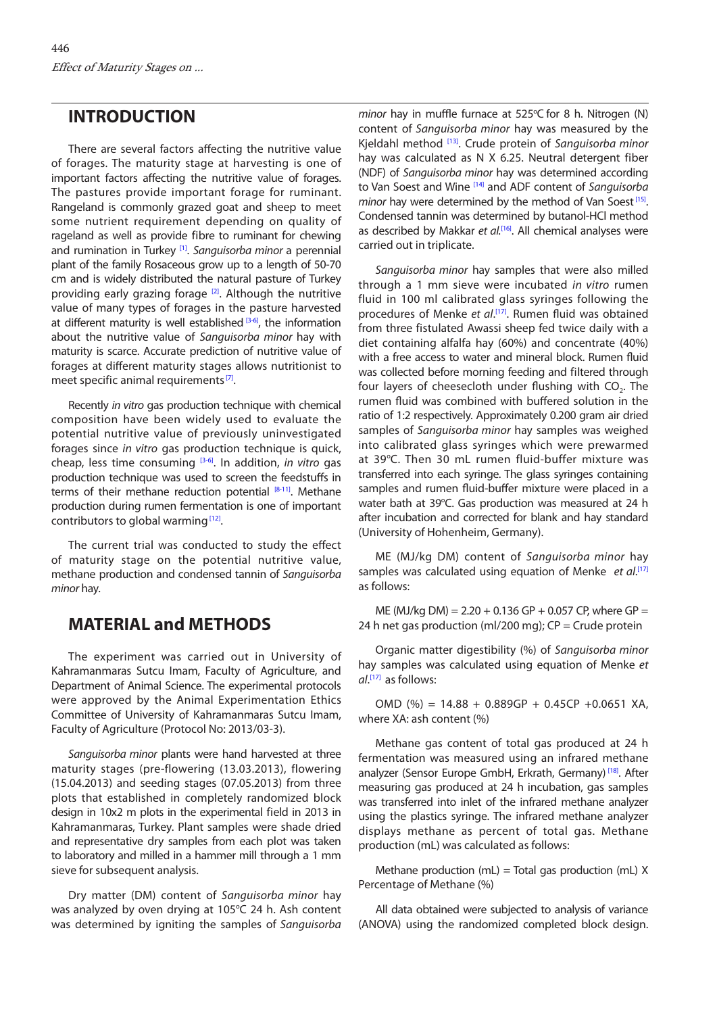#### **INTRODUCTION**

There are several factors affecting the nutritive value of forages. The maturity stage at harvesting is one of important factors affecting the nutritive value of forages. The pastures provide important forage for ruminant. Rangeland is commonly grazed goat and sheep to meet some nutrient requirement depending on quality of rageland as well as provide fibre to ruminant for chewing and rumination in Turkey [[1\].](#page-3-0) *Sanguisorba minor* a perennial plant of the family Rosaceous grow up to a length of 50-70 cm and is widely distributed the natural pasture of Turkey providing early grazing forage [\[2\].](#page-3-0) Although the nutritive value of many types of forages in the pasture harvested at different maturity is well established  $[3-6]$  $[3-6]$ , the information about the nutritive value of *Sanguisorba minor* hay with maturity is scarce. Accurate prediction of nutritive value of forages at different maturity stages allows nutritionist to meet specific animal requirements<sup>[7]</sup>.

Recently *in vitro* gas production technique with chemical composition have been widely used to evaluate the potential nutritive value of previously uninvestigated forages since *in vitro* gas production technique is quick, cheap, less time consuming [\[3-6\]](#page-3-0). In addition, *in vitro* gas production technique was used to screen the feedstuffs in terms of their methane reduction potential  $[8-11]$ . Methane production during rumen fermentation is one of important contributors to global warming $[12]$ .

The current trial was conducted to study the effect of maturity stage on the potential nutritive value, methane production and condensed tannin of *Sanguisorba minor* hay.

#### **MATERIAL and METHODS**

The experiment was carried out in University of Kahramanmaras Sutcu Imam, Faculty of Agriculture, and Department of Animal Science. The experimental protocols were approved by the Animal Experimentation Ethics Committee of University of Kahramanmaras Sutcu Imam, Faculty of Agriculture (Protocol No: 2013/03-3).

*Sanguisorba minor* plants were hand harvested at three maturity stages (pre-flowering (13.03.2013), flowering (15.04.2013) and seeding stages (07.05.2013) from three plots that established in completely randomized block design in 10x2 m plots in the experimental field in 2013 in Kahramanmaras, Turkey. Plant samples were shade dried and representative dry samples from each plot was taken to laboratory and milled in a hammer mill through a 1 mm sieve for subsequent analysis.

Dry matter (DM) content of *Sanguisorba minor* hay was analyzed by oven drying at 105°C 24 h. Ash content was determined by igniting the samples of *Sanguisorba* 

minor hay in muffle furnace at 525°C for 8 h. Nitrogen (N) content of *Sanguisorba minor* hay was measured by the Kjeldahl method [\[13\].](#page-3-0) Crude protein of *Sanguisorba minor* hay was calculated as N X 6.25. Neutral detergent fiber (NDF) of *Sanguisorba minor* hay was determined according to Van Soest and Wine [[14\]](#page-3-0) and ADF content of *Sanguisorba minor* hay were determined by the method of Van Soest<sup>[15]</sup>. Condensed tannin was determined by butanol-HCl method as described by Makkar *et al.*[[16\].](#page-4-0) All chemical analyses were carried out in triplicate.

*Sanguisorba minor* hay samples that were also milled through a 1 mm sieve were incubated *in vitro* rumen fluid in 100 ml calibrated glass syringes following the procedures of Menke *et al*. [\[17\].](#page-4-0) Rumen fluid was obtained from three fistulated Awassi sheep fed twice daily with a diet containing alfalfa hay (60%) and concentrate (40%) with a free access to water and mineral block. Rumen fluid was collected before morning feeding and filtered through four layers of cheesecloth under flushing with CO<sub>2</sub>. The rumen fluid was combined with buffered solution in the ratio of 1:2 respectively. Approximately 0.200 gram air dried samples of *Sanguisorba minor* hay samples was weighed into calibrated glass syringes which were prewarmed at 39°C. Then 30 mL rumen fluid-buffer mixture was transferred into each syringe. The glass syringes containing samples and rumen fluid-buffer mixture were placed in a water bath at 39°C. Gas production was measured at 24 h after incubation and corrected for blank and hay standard (University of Hohenheim, Germany).

ME (MJ/kg DM) content of *Sanguisorba minor* hay samples was calculated using equation of Menke et al.<sup>[\[17\]](#page-4-0)</sup> as follows:

ME (MJ/kg DM) =  $2.20 + 0.136$  GP + 0.057 CP, where GP = 24 h net gas production (ml/200 mg);  $CP =$  Crude protein

Organic matter digestibility (%) of *Sanguisorba minor* hay samples was calculated using equation of Menke *et al*. [[17\]](#page-4-0) as follows:

OMD (%) =  $14.88 + 0.889GP + 0.45CP + 0.0651 XA$ , where XA: ash content (%)

Methane gas content of total gas produced at 24 h fermentation was measured using an infrared methane analyzer (Sensor Europe GmbH, Erkrath, Germany)<sup>[18]</sup>. After measuring gas produced at 24 h incubation, gas samples was transferred into inlet of the infrared methane analyzer using the plastics syringe. The infrared methane analyzer displays methane as percent of total gas. Methane production (mL) was calculated as follows:

Methane production (mL) = Total gas production (mL)  $X$ Percentage of Methane (%)

All data obtained were subjected to analysis of variance (ANOVA) using the randomized completed block design.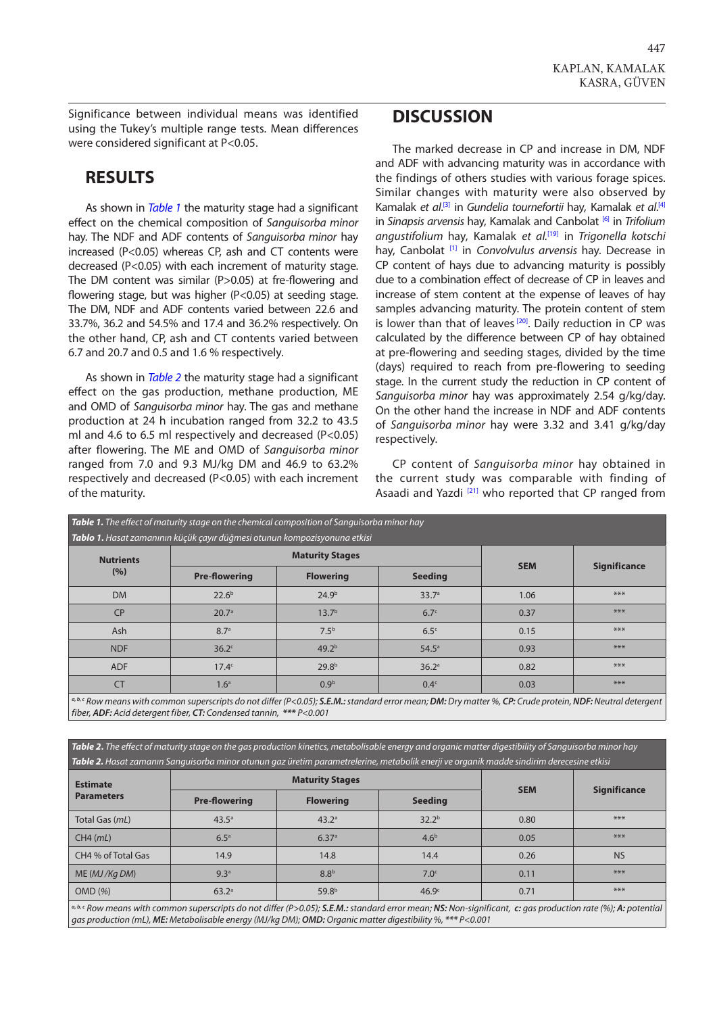Significance between individual means was identified using the Tukey's multiple range tests. Mean differences were considered significant at P<0.05.

### **RESULTS**

As shown in *Table 1* the maturity stage had a significant effect on the chemical composition of *Sanguisorba minor* hay. The NDF and ADF contents of *Sanguisorba minor* hay increased (P<0.05) whereas CP, ash and CT contents were decreased (P<0.05) with each increment of maturity stage. The DM content was similar (P>0.05) at fre-flowering and flowering stage, but was higher (P<0.05) at seeding stage. The DM, NDF and ADF contents varied between 22.6 and 33.7%, 36.2 and 54.5% and 17.4 and 36.2% respectively. On the other hand, CP, ash and CT contents varied between 6.7 and 20.7 and 0.5 and 1.6 % respectively.

As shown in *Table 2* the maturity stage had a significant effect on the gas production, methane production, ME and OMD of *Sanguisorba minor* hay. The gas and methane production at 24 h incubation ranged from 32.2 to 43.5 ml and 4.6 to 6.5 ml respectively and decreased (P<0.05) after flowering. The ME and OMD of *Sanguisorba minor* ranged from 7.0 and 9.3 MJ/kg DM and 46.9 to 63.2% respectively and decreased (P<0.05) with each increment of the maturity.

### **DISCUSSION**

The marked decrease in CP and increase in DM, NDF and ADF with advancing maturity was in accordance with the findings of others studies with various forage spices. Similar changes with maturity were also observed by Kamalak *et al.*<sup>[3]</sup> in *Gundelia tournefortii* hay, Kamalak *et al.*<sup>[\[4\]](#page-3-0)</sup> in *Sinapsis arvensis* hay, Kamalak and Canbolat [[6\]](#page-3-0) in *Trifolium angustifolium* hay, Kamalak *et al.*[\[19\]](#page-4-0) in *Trigonella kotschi* hay, Canbolat [\[1\]](#page-3-0) in *Convolvulus arvensis* hay*.* Decrease in CP content of hays due to advancing maturity is possibly due to a combination effect of decrease of CP in leaves and increase of stem content at the expense of leaves of hay samples advancing maturity. The protein content of stem is lower than that of leaves<sup>[20]</sup>. Daily reduction in CP was calculated by the difference between CP of hay obtained at pre-flowering and seeding stages, divided by the time (days) required to reach from pre-flowering to seeding stage. In the current study the reduction in CP content of *Sanguisorba minor* hay was approximately 2.54 g/kg/day. On the other hand the increase in NDF and ADF contents of *Sanguisorba minor* hay were 3.32 and 3.41 g/kg/day respectively.

CP content of *Sanguisorba minor* hay obtained in the current study was comparable with finding of Asaadi and Yazdi<sup>[[21\]](#page-4-0)</sup> who reported that CP ranged from

| <b>Table 1.</b> The effect of maturity stage on the chemical composition of Sanguisorba minor hay<br>Tablo 1. Hasat zamanının küçük çayır düğmesi otunun kompozisyonuna etkisi |                        |                   |                   |            |                     |  |  |  |  |
|--------------------------------------------------------------------------------------------------------------------------------------------------------------------------------|------------------------|-------------------|-------------------|------------|---------------------|--|--|--|--|
| <b>Nutrients</b><br>(%)                                                                                                                                                        | <b>Maturity Stages</b> |                   |                   |            |                     |  |  |  |  |
|                                                                                                                                                                                | <b>Pre-flowering</b>   | <b>Flowering</b>  | <b>Seeding</b>    | <b>SEM</b> | <b>Significance</b> |  |  |  |  |
| <b>DM</b>                                                                                                                                                                      | 22.6 <sup>b</sup>      | 24.9 <sup>b</sup> | 33.7 <sup>a</sup> | 1.06       | ***                 |  |  |  |  |
| <b>CP</b>                                                                                                                                                                      | 20.7 <sup>a</sup>      | 13.7 <sup>b</sup> | 6.7 <sup>c</sup>  | 0.37       | ***                 |  |  |  |  |
| Ash                                                                                                                                                                            | 8.7 <sup>a</sup>       | 7.5 <sup>b</sup>  | 6.5 <sup>c</sup>  | 0.15       | ***                 |  |  |  |  |
| <b>NDF</b>                                                                                                                                                                     | 36.2 <sup>c</sup>      | 49.2 <sup>b</sup> | 54.5 <sup>a</sup> | 0.93       | ***                 |  |  |  |  |
| <b>ADF</b>                                                                                                                                                                     | 17.4 <sup>c</sup>      | 29.8 <sup>b</sup> | 36.2 <sup>a</sup> | 0.82       | ***                 |  |  |  |  |
| <b>CT</b>                                                                                                                                                                      | 1.6 <sup>a</sup>       | 0.9 <sup>b</sup>  | 0.4 <sup>c</sup>  | 0.03       | ***                 |  |  |  |  |

b.<sup>c</sup> Row means with common superscripts do not differ (P<0.05); S.E.M.: standard error mean; DM: Dry matter %, CP: Crude protein, NDF: Neutral detergent *fiber, ADF: Acid detergent fiber, CT: Condensed tannin, \*\*\* P<0.001*

*Table 2***.** *The effect of maturity stage on the gas production kinetics, metabolisable energy and organic matter digestibility of Sanguisorba minor hay Table 2. Hasat zamanın Sanguisorba minor otunun gaz üretim parametrelerine, metabolik enerji ve organik madde sindirim derecesine etkisi*

| <b>Estimate</b><br><b>Parameters</b>                                                                                                                                         | <b>Maturity Stages</b> |                   |                   |            |                     |  |  |
|------------------------------------------------------------------------------------------------------------------------------------------------------------------------------|------------------------|-------------------|-------------------|------------|---------------------|--|--|
|                                                                                                                                                                              | <b>Pre-flowering</b>   | <b>Flowering</b>  | <b>Seeding</b>    | <b>SEM</b> | <b>Significance</b> |  |  |
| Total Gas (mL)                                                                                                                                                               | $43.5^{\circ}$         | 43.2 <sup>a</sup> | 32.2 <sup>b</sup> | 0.80       | ***                 |  |  |
| $CH4$ ( $mL$ )                                                                                                                                                               | 6.5 <sup>a</sup>       | 6.37a             | 4.6 <sup>b</sup>  | 0.05       | ***                 |  |  |
| CH4 % of Total Gas                                                                                                                                                           | 14.9                   | 14.8              | 14.4              | 0.26       | <b>NS</b>           |  |  |
| ME(MJ/KqDM)                                                                                                                                                                  | 9.3 <sup>a</sup>       | 8.8 <sup>b</sup>  | 7.0 <sup>c</sup>  | 0.11       | ***                 |  |  |
| OMD(%)                                                                                                                                                                       | 63.2a                  | 59.8 <sup>b</sup> | 46.9 <sup>c</sup> | 0.71       | ***                 |  |  |
| $\mathcal{A}$ , b.c. Downpane with common synorcripts do not diffor (D, O, O, C, E, M, etapdard error moan; N.S. Non-significant, sy age production rate (0.4); A; potential |                        |                   |                   |            |                     |  |  |

Row means with common superscripts do not differ (P>0.05); **S.E.M.:** standard error mean; **NS:** Non-significant, c: gas production rate (%); **A:** potential *gas production (mL), ME: Metabolisable energy (MJ/kg DM); OMD: Organic matter digestibility %, \*\*\* P<0.001*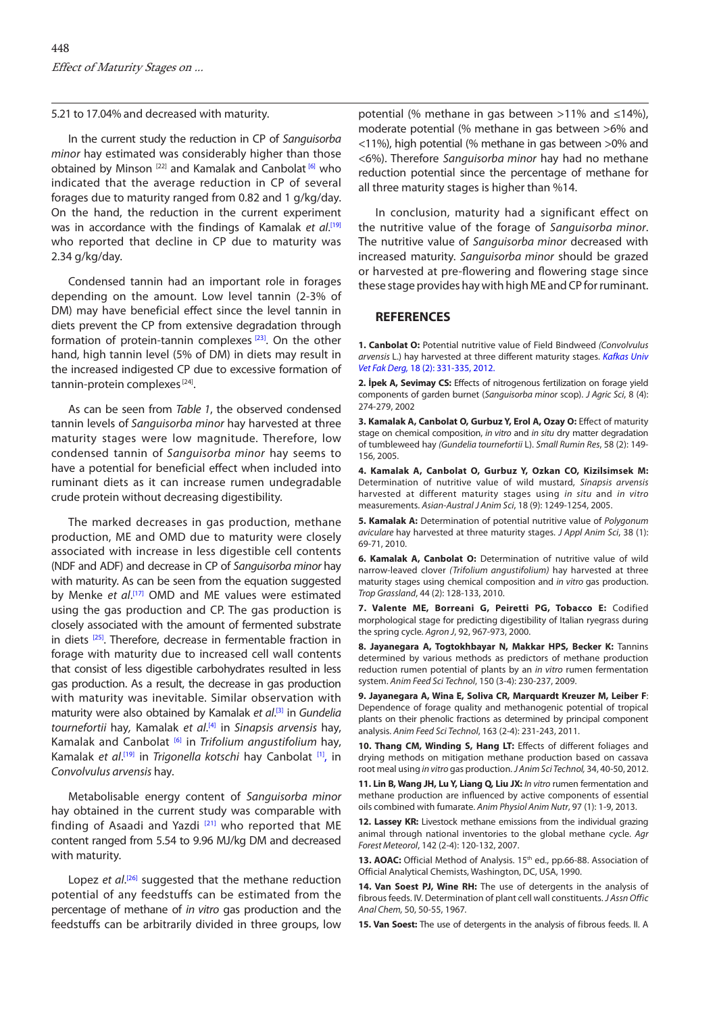<span id="page-3-0"></span>5.21 to 17.04% and decreased with maturity.

In the current study the reduction in CP of *Sanguisorba minor* hay estimated was considerably higher than those obtained by Minson<sup>[22]</sup> and Kamalak and Canbolat<sup>[6]</sup> who indicated that the average reduction in CP of several forages due to maturity ranged from 0.82 and 1 g/kg/day. On the hand, the reduction in the current experiment was in accordance with the findings of Kamalak *et al*. [\[19\]](#page-4-0) who reported that decline in CP due to maturity was 2.34 g/kg/day.

Condensed tannin had an important role in forages depending on the amount. Low level tannin (2-3% of DM) may have beneficial effect since the level tannin in diets prevent the CP from extensive degradation through formation of protein-tannin complexes [\[23\].](#page-4-0) On the other hand, high tannin level (5% of DM) in diets may result in the increased indigested CP due to excessive formation of tannin-protein complexes [[24\].](#page-4-0)

As can be seen from *Table 1*, the observed condensed tannin levels of *Sanguisorba minor* hay harvested at three maturity stages were low magnitude. Therefore, low condensed tannin of *Sanguisorba minor* hay seems to have a potential for beneficial effect when included into ruminant diets as it can increase rumen undegradable crude protein without decreasing digestibility.

The marked decreases in gas production, methane production, ME and OMD due to maturity were closely associated with increase in less digestible cell contents (NDF and ADF) and decrease in CP of *Sanguisorba minor* hay with maturity. As can be seen from the equation suggested by Menke et al.<sup>[17]</sup> OMD and ME values were estimated using the gas production and CP. The gas production is closely associated with the amount of fermented substrate in diets <sup>[25]</sup>. Therefore, decrease in fermentable fraction in forage with maturity due to increased cell wall contents that consist of less digestible carbohydrates resulted in less gas production. As a result, the decrease in gas production with maturity was inevitable. Similar observation with maturity were also obtained by Kamalak *et al*. [3] in *Gundelia tournefortii* hay*,* Kamalak *et al*. [4] in *Sinapsis arvensis* hay, Kamalak and Canbolat [6] in *Trifolium angustifolium* hay, Kamalak *et al*. [\[19\]](#page-4-0) in *Trigonella kotschi* hay Canbolat [1], in *Convolvulus arvensis* hay*.* 

Metabolisable energy content of *Sanguisorba minor* hay obtained in the current study was comparable with finding of Asaadi and Yazdi [[21\]](#page-4-0) who reported that ME content ranged from 5.54 to 9.96 MJ/kg DM and decreased with maturity.

Lopez et al.<sup>[[26\]](#page-4-0)</sup> suggested that the methane reduction potential of any feedstuffs can be estimated from the percentage of methane of *in vitro* gas production and the feedstuffs can be arbitrarily divided in three groups, low

potential (% methane in gas between >11% and ≤14%), moderate potential (% methane in gas between >6% and <11%), high potential (% methane in gas between >0% and <6%). Therefore *Sanguisorba minor* hay had no methane reduction potential since the percentage of methane for all three maturity stages is higher than %14.

In conclusion, maturity had a significant effect on the nutritive value of the forage of *Sanguisorba minor*. The nutritive value of *Sanguisorba minor* decreased with increased maturity. *Sanguisorba minor* should be grazed or harvested at pre-flowering and flowering stage since these stage provides hay with high ME and CP for ruminant.

#### **REFERENCES**

**1. Canbolat O:** Potential nutritive value of Field Bindweed *(Convolvulus arvensis* [L.\) hay harvested at three different maturity stages.](http://vetdergi.kafkas.edu.tr/extdocs/2012_2/331-335.pdf) *Kafkas Univ Vet Fak Derg,* 18 (2): 331-335, 2012.

**2. İpek A, Sevimay CS:** Effects of nitrogenous fertilization on forage yield components of garden burnet (*Sanguisorba minor* scop). *J Agric Sci*, 8 (4): 274-279, 2002

**3. Kamalak A, Canbolat O, Gurbuz Y, Erol A, Ozay O:** Effect of maturity stage on chemical composition, *in vitro* and *in situ* dry matter degradation of tumbleweed hay *(Gundelia tournefortii* L). *Small Rumin Res*, 58 (2): 149- 156, 2005.

**4. Kamalak A, Canbolat O, Gurbuz Y, Ozkan CO, Kizilsimsek M:** Determination of nutritive value of wild mustard, *Sinapsis arvensis*  harvested at different maturity stages using *in situ* and *in vitro*  measurements. *Asian-Austral J Anim Sci*, 18 (9): 1249-1254, 2005.

**5. Kamalak A:** Determination of potential nutritive value of *Polygonum aviculare* hay harvested at three maturity stages. *J Appl Anim Sci*, 38 (1): 69-71, 2010.

**6. Kamalak A, Canbolat O:** Determination of nutritive value of wild narrow-leaved clover *(Trifolium angustifolium)* hay harvested at three maturity stages using chemical composition and *in vitro* gas production. *Trop Grassland*, 44 (2): 128-133, 2010.

**7. Valente ME, Borreani G, Peiretti PG, Tobacco E:** Codified morphological stage for predicting digestibility of Italian ryegrass during the spring cycle. *Agron J*, 92, 967-973, 2000.

**8. Jayanegara A, Togtokhbayar N, Makkar HPS, Becker K:** Tannins determined by various methods as predictors of methane production reduction rumen potential of plants by an *in vitro* rumen fermentation system. *Anim Feed Sci Technol*, 150 (3-4): 230-237, 2009.

**9. Jayanegara A, Wina E, Soliva CR, Marquardt Kreuzer M, Leiber F**: Dependence of forage quality and methanogenic potential of tropical plants on their phenolic fractions as determined by principal component analysis. *Anim Feed Sci Technol*, 163 (2-4): 231-243, 2011.

**10. Thang CM, Winding S, Hang LT:** Effects of different foliages and drying methods on mitigation methane production based on cassava root meal using *in vitro* gas production. *J Anim Sci Technol,* 34, 40-50, 2012.

**11. Lin B, Wang JH, Lu Y, Liang Q, Liu JX:** *In vitro* rumen fermentation and methane production are influenced by active components of essential oils combined with fumarate. *Anim Physiol Anim Nutr*, 97 (1): 1-9, 2013.

**12. Lassey KR:** Livestock methane emissions from the individual grazing animal through national inventories to the global methane cycle. *Agr Forest Meteorol*, 142 (2-4): 120-132, 2007.

13. AOAC: Official Method of Analysis. 15<sup>th</sup> ed., pp.66-88. Association of Official Analytical Chemists, Washington, DC, USA, 1990.

**14. Van Soest PJ, Wine RH:** The use of detergents in the analysis of fibrous feeds. IV. Determination of plant cell wall constituents. *J Assn Offic Anal Chem,* 50, 50-55, 1967*.*

**15. Van Soest:** The use of detergents in the analysis of fibrous feeds. II. A